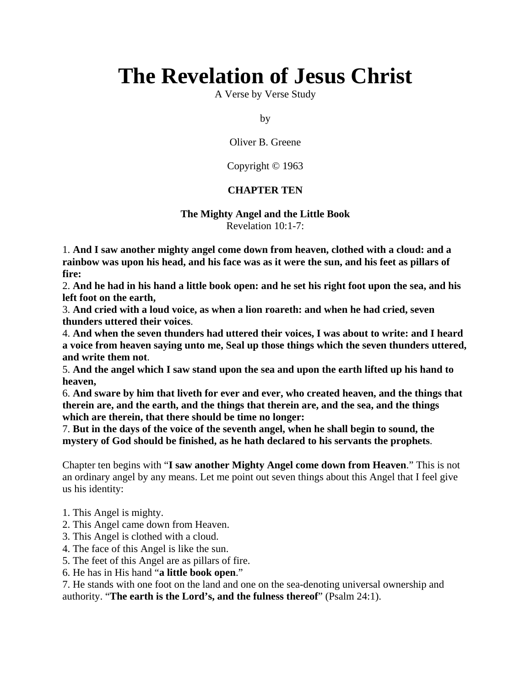# **The Revelation of Jesus Christ**

A Verse by Verse Study

by

Oliver B. Greene

Copyright © 1963

## **CHAPTER TEN**

#### **The Mighty Angel and the Little Book** Revelation 10:1-7:

1. **And I saw another mighty angel come down from heaven, clothed with a cloud: and a rainbow was upon his head, and his face was as it were the sun, and his feet as pillars of fire:**

2. **And he had in his hand a little book open: and he set his right foot upon the sea, and his left foot on the earth,**

3. **And cried with a loud voice, as when a lion roareth: and when he had cried, seven thunders uttered their voices**.

4. **And when the seven thunders had uttered their voices, I was about to write: and I heard a voice from heaven saying unto me, Seal up those things which the seven thunders uttered, and write them not**.

5. **And the angel which I saw stand upon the sea and upon the earth lifted up his hand to heaven,**

6. **And sware by him that liveth for ever and ever, who created heaven, and the things that therein are, and the earth, and the things that therein are, and the sea, and the things which are therein, that there should be time no longer:**

7. **But in the days of the voice of the seventh angel, when he shall begin to sound, the mystery of God should be finished, as he hath declared to his servants the prophets**.

Chapter ten begins with "**I saw another Mighty Angel come down from Heaven**." This is not an ordinary angel by any means. Let me point out seven things about this Angel that I feel give us his identity:

- 1. This Angel is mighty.
- 2. This Angel came down from Heaven.
- 3. This Angel is clothed with a cloud.
- 4. The face of this Angel is like the sun.
- 5. The feet of this Angel are as pillars of fire.
- 6. He has in His hand "**a little book open**."

7. He stands with one foot on the land and one on the sea-denoting universal ownership and authority. "**The earth is the Lord's, and the fulness thereof**" (Psalm 24:1).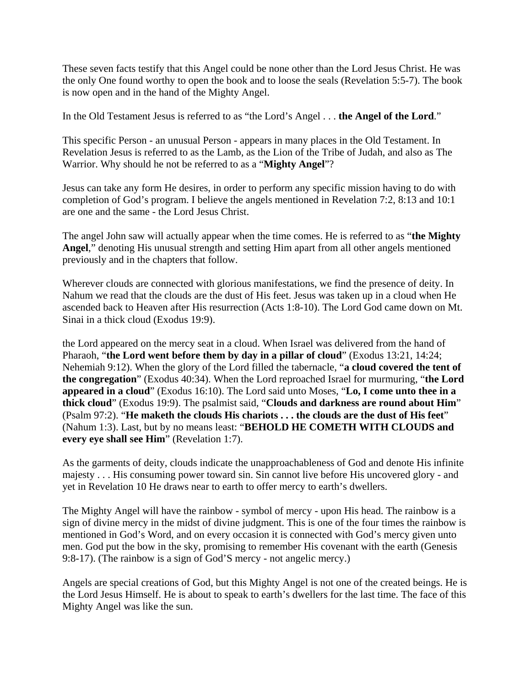These seven facts testify that this Angel could be none other than the Lord Jesus Christ. He was the only One found worthy to open the book and to loose the seals (Revelation 5:5-7). The book is now open and in the hand of the Mighty Angel.

In the Old Testament Jesus is referred to as "the Lord's Angel . . . **the Angel of the Lord**."

This specific Person - an unusual Person - appears in many places in the Old Testament. In Revelation Jesus is referred to as the Lamb, as the Lion of the Tribe of Judah, and also as The Warrior. Why should he not be referred to as a "**Mighty Angel**"?

Jesus can take any form He desires, in order to perform any specific mission having to do with completion of God's program. I believe the angels mentioned in Revelation 7:2, 8:13 and 10:1 are one and the same - the Lord Jesus Christ.

The angel John saw will actually appear when the time comes. He is referred to as "**the Mighty Angel**," denoting His unusual strength and setting Him apart from all other angels mentioned previously and in the chapters that follow.

Wherever clouds are connected with glorious manifestations, we find the presence of deity. In Nahum we read that the clouds are the dust of His feet. Jesus was taken up in a cloud when He ascended back to Heaven after His resurrection (Acts 1:8-10). The Lord God came down on Mt. Sinai in a thick cloud (Exodus 19:9).

the Lord appeared on the mercy seat in a cloud. When Israel was delivered from the hand of Pharaoh, "**the Lord went before them by day in a pillar of cloud**" (Exodus 13:21, 14:24; Nehemiah 9:12). When the glory of the Lord filled the tabernacle, "**a cloud covered the tent of the congregation**" (Exodus 40:34). When the Lord reproached Israel for murmuring, "**the Lord appeared in a cloud**" (Exodus 16:10). The Lord said unto Moses, "**Lo, I come unto thee in a thick cloud**" (Exodus 19:9). The psalmist said, "**Clouds and darkness are round about Him**" (Psalm 97:2). "**He maketh the clouds His chariots . . . the clouds are the dust of His feet**" (Nahum 1:3). Last, but by no means least: "**BEHOLD HE COMETH WITH CLOUDS and every eye shall see Him**" (Revelation 1:7).

As the garments of deity, clouds indicate the unapproachableness of God and denote His infinite majesty . . . His consuming power toward sin. Sin cannot live before His uncovered glory - and yet in Revelation 10 He draws near to earth to offer mercy to earth's dwellers.

The Mighty Angel will have the rainbow - symbol of mercy - upon His head. The rainbow is a sign of divine mercy in the midst of divine judgment. This is one of the four times the rainbow is mentioned in God's Word, and on every occasion it is connected with God's mercy given unto men. God put the bow in the sky, promising to remember His covenant with the earth (Genesis 9:8-17). (The rainbow is a sign of God'S mercy - not angelic mercy.)

Angels are special creations of God, but this Mighty Angel is not one of the created beings. He is the Lord Jesus Himself. He is about to speak to earth's dwellers for the last time. The face of this Mighty Angel was like the sun.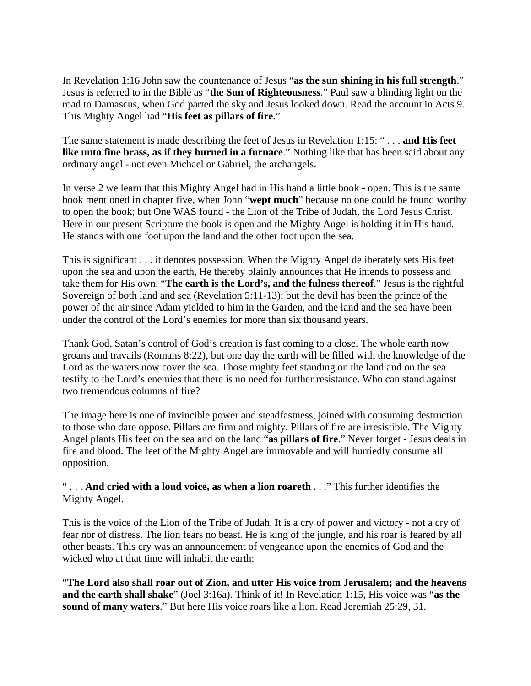In Revelation 1:16 John saw the countenance of Jesus "**as the sun shining in his full strength**." Jesus is referred to in the Bible as "**the Sun of Righteousness**." Paul saw a blinding light on the road to Damascus, when God parted the sky and Jesus looked down. Read the account in Acts 9. This Mighty Angel had "**His feet as pillars of fire**."

The same statement is made describing the feet of Jesus in Revelation 1:15: " . . . **and His feet like unto fine brass, as if they burned in a furnace**." Nothing like that has been said about any ordinary angel - not even Michael or Gabriel, the archangels.

In verse 2 we learn that this Mighty Angel had in His hand a little book - open. This is the same book mentioned in chapter five, when John "**wept much**" because no one could be found worthy to open the book; but One WAS found - the Lion of the Tribe of Judah, the Lord Jesus Christ. Here in our present Scripture the book is open and the Mighty Angel is holding it in His hand. He stands with one foot upon the land and the other foot upon the sea.

This is significant . . . it denotes possession. When the Mighty Angel deliberately sets His feet upon the sea and upon the earth, He thereby plainly announces that He intends to possess and take them for His own. "**The earth is the Lord's, and the fulness thereof**." Jesus is the rightful Sovereign of both land and sea (Revelation 5:11-13); but the devil has been the prince of the power of the air since Adam yielded to him in the Garden, and the land and the sea have been under the control of the Lord's enemies for more than six thousand years.

Thank God, Satan's control of God's creation is fast coming to a close. The whole earth now groans and travails (Romans 8:22), but one day the earth will be filled with the knowledge of the Lord as the waters now cover the sea. Those mighty feet standing on the land and on the sea testify to the Lord's enemies that there is no need for further resistance. Who can stand against two tremendous columns of fire?

The image here is one of invincible power and steadfastness, joined with consuming destruction to those who dare oppose. Pillars are firm and mighty. Pillars of fire are irresistible. The Mighty Angel plants His feet on the sea and on the land "**as pillars of fire**." Never forget - Jesus deals in fire and blood. The feet of the Mighty Angel are immovable and will hurriedly consume all opposition.

" . . . **And cried with a loud voice, as when a lion roareth** . . ." This further identifies the Mighty Angel.

This is the voice of the Lion of the Tribe of Judah. It is a cry of power and victory - not a cry of fear nor of distress. The lion fears no beast. He is king of the jungle, and his roar is feared by all other beasts. This cry was an announcement of vengeance upon the enemies of God and the wicked who at that time will inhabit the earth:

"**The Lord also shall roar out of Zion, and utter His voice from Jerusalem; and the heavens and the earth shall shake**" (Joel 3:16a). Think of it! In Revelation 1:15, His voice was "**as the sound of many waters**." But here His voice roars like a lion. Read Jeremiah 25:29, 31.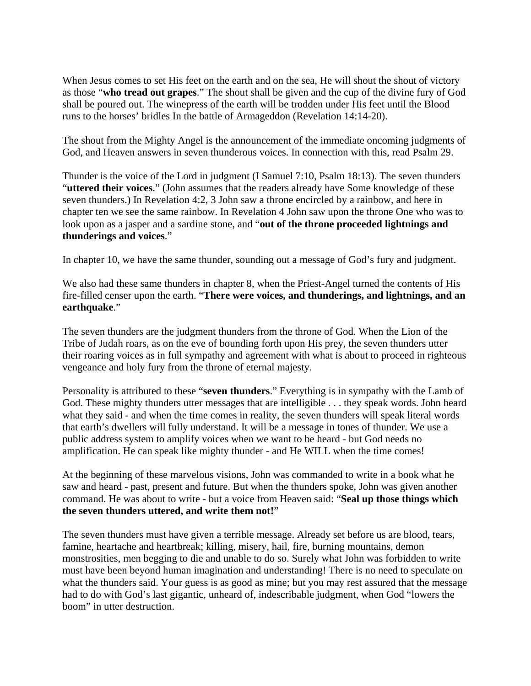When Jesus comes to set His feet on the earth and on the sea, He will shout the shout of victory as those "**who tread out grapes**." The shout shall be given and the cup of the divine fury of God shall be poured out. The winepress of the earth will be trodden under His feet until the Blood runs to the horses' bridles In the battle of Armageddon (Revelation 14:14-20).

The shout from the Mighty Angel is the announcement of the immediate oncoming judgments of God, and Heaven answers in seven thunderous voices. In connection with this, read Psalm 29.

Thunder is the voice of the Lord in judgment (I Samuel 7:10, Psalm 18:13). The seven thunders "**uttered their voices**." (John assumes that the readers already have Some knowledge of these seven thunders.) In Revelation 4:2, 3 John saw a throne encircled by a rainbow, and here in chapter ten we see the same rainbow. In Revelation 4 John saw upon the throne One who was to look upon as a jasper and a sardine stone, and "**out of the throne proceeded lightnings and thunderings and voices**."

In chapter 10, we have the same thunder, sounding out a message of God's fury and judgment.

We also had these same thunders in chapter 8, when the Priest-Angel turned the contents of His fire-filled censer upon the earth. "**There were voices, and thunderings, and lightnings, and an earthquake**."

The seven thunders are the judgment thunders from the throne of God. When the Lion of the Tribe of Judah roars, as on the eve of bounding forth upon His prey, the seven thunders utter their roaring voices as in full sympathy and agreement with what is about to proceed in righteous vengeance and holy fury from the throne of eternal majesty.

Personality is attributed to these "**seven thunders**." Everything is in sympathy with the Lamb of God. These mighty thunders utter messages that are intelligible . . . they speak words. John heard what they said - and when the time comes in reality, the seven thunders will speak literal words that earth's dwellers will fully understand. It will be a message in tones of thunder. We use a public address system to amplify voices when we want to be heard - but God needs no amplification. He can speak like mighty thunder - and He WILL when the time comes!

At the beginning of these marvelous visions, John was commanded to write in a book what he saw and heard - past, present and future. But when the thunders spoke, John was given another command. He was about to write - but a voice from Heaven said: "**Seal up those things which the seven thunders uttered, and write them not!**"

The seven thunders must have given a terrible message. Already set before us are blood, tears, famine, heartache and heartbreak; killing, misery, hail, fire, burning mountains, demon monstrosities, men begging to die and unable to do so. Surely what John was forbidden to write must have been beyond human imagination and understanding! There is no need to speculate on what the thunders said. Your guess is as good as mine; but you may rest assured that the message had to do with God's last gigantic, unheard of, indescribable judgment, when God "lowers the boom" in utter destruction.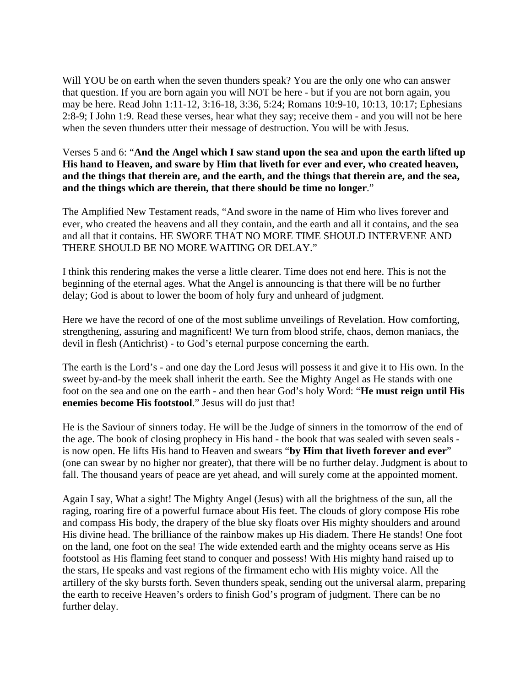Will YOU be on earth when the seven thunders speak? You are the only one who can answer that question. If you are born again you will NOT be here - but if you are not born again, you may be here. Read John 1:11-12, 3:16-18, 3:36, 5:24; Romans 10:9-10, 10:13, 10:17; Ephesians 2:8-9; I John 1:9. Read these verses, hear what they say; receive them - and you will not be here when the seven thunders utter their message of destruction. You will be with Jesus.

Verses 5 and 6: "**And the Angel which I saw stand upon the sea and upon the earth lifted up His hand to Heaven, and sware by Him that liveth for ever and ever, who created heaven, and the things that therein are, and the earth, and the things that therein are, and the sea, and the things which are therein, that there should be time no longer**."

The Amplified New Testament reads, "And swore in the name of Him who lives forever and ever, who created the heavens and all they contain, and the earth and all it contains, and the sea and all that it contains. HE SWORE THAT NO MORE TIME SHOULD INTERVENE AND THERE SHOULD BE NO MORE WAITING OR DELAY."

I think this rendering makes the verse a little clearer. Time does not end here. This is not the beginning of the eternal ages. What the Angel is announcing is that there will be no further delay; God is about to lower the boom of holy fury and unheard of judgment.

Here we have the record of one of the most sublime unveilings of Revelation. How comforting, strengthening, assuring and magnificent! We turn from blood strife, chaos, demon maniacs, the devil in flesh (Antichrist) - to God's eternal purpose concerning the earth.

The earth is the Lord's - and one day the Lord Jesus will possess it and give it to His own. In the sweet by-and-by the meek shall inherit the earth. See the Mighty Angel as He stands with one foot on the sea and one on the earth - and then hear God's holy Word: "**He must reign until His enemies become His footstool**." Jesus will do just that!

He is the Saviour of sinners today. He will be the Judge of sinners in the tomorrow of the end of the age. The book of closing prophecy in His hand - the book that was sealed with seven seals is now open. He lifts His hand to Heaven and swears "**by Him that liveth forever and ever**" (one can swear by no higher nor greater), that there will be no further delay. Judgment is about to fall. The thousand years of peace are yet ahead, and will surely come at the appointed moment.

Again I say, What a sight! The Mighty Angel (Jesus) with all the brightness of the sun, all the raging, roaring fire of a powerful furnace about His feet. The clouds of glory compose His robe and compass His body, the drapery of the blue sky floats over His mighty shoulders and around His divine head. The brilliance of the rainbow makes up His diadem. There He stands! One foot on the land, one foot on the sea! The wide extended earth and the mighty oceans serve as His footstool as His flaming feet stand to conquer and possess! With His mighty hand raised up to the stars, He speaks and vast regions of the firmament echo with His mighty voice. All the artillery of the sky bursts forth. Seven thunders speak, sending out the universal alarm, preparing the earth to receive Heaven's orders to finish God's program of judgment. There can be no further delay.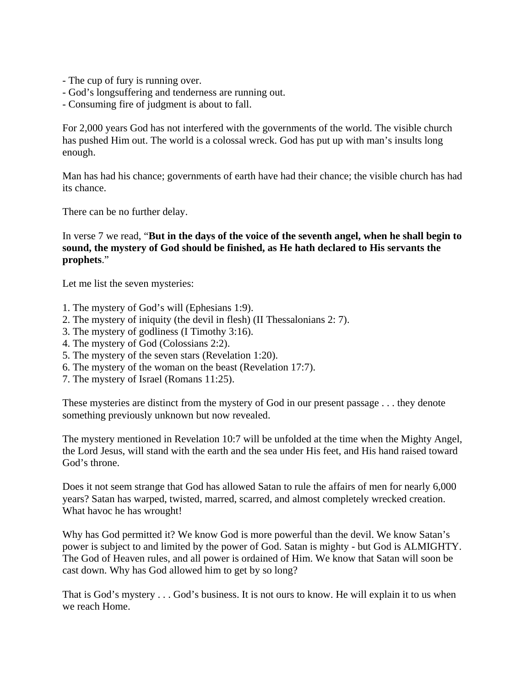- The cup of fury is running over.
- God's longsuffering and tenderness are running out.
- Consuming fire of judgment is about to fall.

For 2,000 years God has not interfered with the governments of the world. The visible church has pushed Him out. The world is a colossal wreck. God has put up with man's insults long enough.

Man has had his chance; governments of earth have had their chance; the visible church has had its chance.

There can be no further delay.

In verse 7 we read, "**But in the days of the voice of the seventh angel, when he shall begin to sound, the mystery of God should be finished, as He hath declared to His servants the prophets**."

Let me list the seven mysteries:

- 1. The mystery of God's will (Ephesians 1:9).
- 2. The mystery of iniquity (the devil in flesh) (II Thessalonians 2: 7).
- 3. The mystery of godliness (I Timothy 3:16).
- 4. The mystery of God (Colossians 2:2).
- 5. The mystery of the seven stars (Revelation 1:20).
- 6. The mystery of the woman on the beast (Revelation 17:7).
- 7. The mystery of Israel (Romans 11:25).

These mysteries are distinct from the mystery of God in our present passage . . . they denote something previously unknown but now revealed.

The mystery mentioned in Revelation 10:7 will be unfolded at the time when the Mighty Angel, the Lord Jesus, will stand with the earth and the sea under His feet, and His hand raised toward God's throne.

Does it not seem strange that God has allowed Satan to rule the affairs of men for nearly 6,000 years? Satan has warped, twisted, marred, scarred, and almost completely wrecked creation. What havoc he has wrought!

Why has God permitted it? We know God is more powerful than the devil. We know Satan's power is subject to and limited by the power of God. Satan is mighty - but God is ALMIGHTY. The God of Heaven rules, and all power is ordained of Him. We know that Satan will soon be cast down. Why has God allowed him to get by so long?

That is God's mystery . . . God's business. It is not ours to know. He will explain it to us when we reach Home.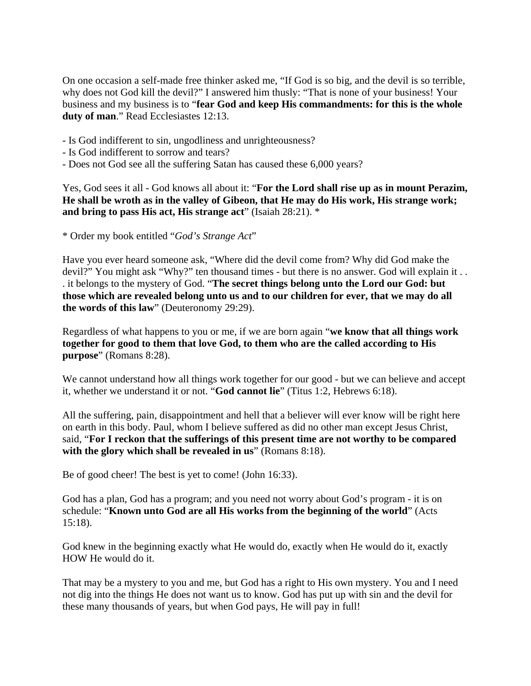On one occasion a self-made free thinker asked me, "If God is so big, and the devil is so terrible, why does not God kill the devil?" I answered him thusly: "That is none of your business! Your business and my business is to "**fear God and keep His commandments: for this is the whole duty of man**." Read Ecclesiastes 12:13.

- Is God indifferent to sin, ungodliness and unrighteousness?
- Is God indifferent to sorrow and tears?
- Does not God see all the suffering Satan has caused these 6,000 years?

Yes, God sees it all - God knows all about it: "**For the Lord shall rise up as in mount Perazim, He shall be wroth as in the valley of Gibeon, that He may do His work, His strange work; and bring to pass His act, His strange act**" (Isaiah 28:21). \*

\* Order my book entitled "*God's Strange Act*"

Have you ever heard someone ask, "Where did the devil come from? Why did God make the devil?" You might ask "Why?" ten thousand times - but there is no answer. God will explain it . . . it belongs to the mystery of God. "**The secret things belong unto the Lord our God: but those which are revealed belong unto us and to our children for ever, that we may do all the words of this law**" (Deuteronomy 29:29).

Regardless of what happens to you or me, if we are born again "**we know that all things work together for good to them that love God, to them who are the called according to His purpose**" (Romans 8:28).

We cannot understand how all things work together for our good - but we can believe and accept it, whether we understand it or not. "**God cannot lie**" (Titus 1:2, Hebrews 6:18).

All the suffering, pain, disappointment and hell that a believer will ever know will be right here on earth in this body. Paul, whom I believe suffered as did no other man except Jesus Christ, said, "**For I reckon that the sufferings of this present time are not worthy to be compared with the glory which shall be revealed in us**" (Romans 8:18).

Be of good cheer! The best is yet to come! (John 16:33).

God has a plan, God has a program; and you need not worry about God's program - it is on schedule: "**Known unto God are all His works from the beginning of the world**" (Acts 15:18).

God knew in the beginning exactly what He would do, exactly when He would do it, exactly HOW He would do it.

That may be a mystery to you and me, but God has a right to His own mystery. You and I need not dig into the things He does not want us to know. God has put up with sin and the devil for these many thousands of years, but when God pays, He will pay in full!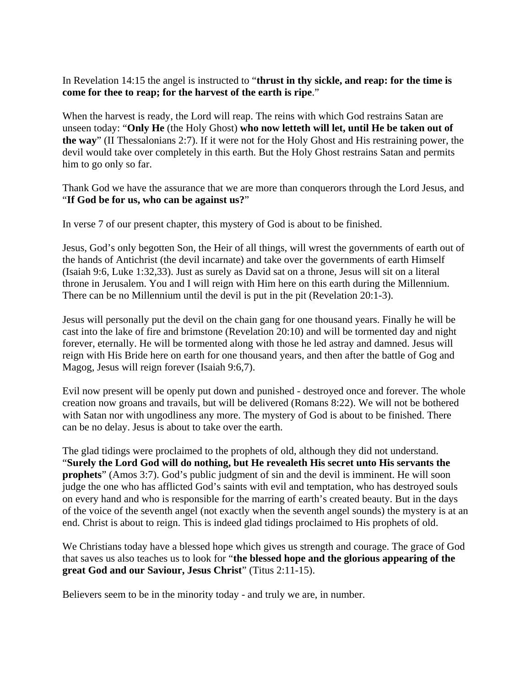#### In Revelation 14:15 the angel is instructed to "**thrust in thy sickle, and reap: for the time is come for thee to reap; for the harvest of the earth is ripe**."

When the harvest is ready, the Lord will reap. The reins with which God restrains Satan are unseen today: "**Only He** (the Holy Ghost) **who now letteth will let, until He be taken out of the way**" (II Thessalonians 2:7). If it were not for the Holy Ghost and His restraining power, the devil would take over completely in this earth. But the Holy Ghost restrains Satan and permits him to go only so far.

Thank God we have the assurance that we are more than conquerors through the Lord Jesus, and "**If God be for us, who can be against us?**"

In verse 7 of our present chapter, this mystery of God is about to be finished.

Jesus, God's only begotten Son, the Heir of all things, will wrest the governments of earth out of the hands of Antichrist (the devil incarnate) and take over the governments of earth Himself (Isaiah 9:6, Luke 1:32,33). Just as surely as David sat on a throne, Jesus will sit on a literal throne in Jerusalem. You and I will reign with Him here on this earth during the Millennium. There can be no Millennium until the devil is put in the pit (Revelation 20:1-3).

Jesus will personally put the devil on the chain gang for one thousand years. Finally he will be cast into the lake of fire and brimstone (Revelation 20:10) and will be tormented day and night forever, eternally. He will be tormented along with those he led astray and damned. Jesus will reign with His Bride here on earth for one thousand years, and then after the battle of Gog and Magog, Jesus will reign forever (Isaiah 9:6,7).

Evil now present will be openly put down and punished - destroyed once and forever. The whole creation now groans and travails, but will be delivered (Romans 8:22). We will not be bothered with Satan nor with ungodliness any more. The mystery of God is about to be finished. There can be no delay. Jesus is about to take over the earth.

The glad tidings were proclaimed to the prophets of old, although they did not understand. "**Surely the Lord God will do nothing, but He revealeth His secret unto His servants the prophets**" (Amos 3:7). God's public judgment of sin and the devil is imminent. He will soon judge the one who has afflicted God's saints with evil and temptation, who has destroyed souls on every hand and who is responsible for the marring of earth's created beauty. But in the days of the voice of the seventh angel (not exactly when the seventh angel sounds) the mystery is at an end. Christ is about to reign. This is indeed glad tidings proclaimed to His prophets of old.

We Christians today have a blessed hope which gives us strength and courage. The grace of God that saves us also teaches us to look for "**the blessed hope and the glorious appearing of the great God and our Saviour, Jesus Christ**" (Titus 2:11-15).

Believers seem to be in the minority today - and truly we are, in number.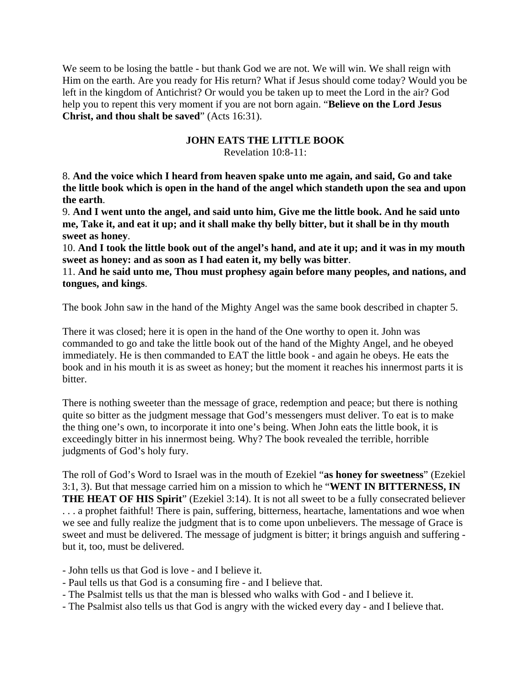We seem to be losing the battle - but thank God we are not. We will win. We shall reign with Him on the earth. Are you ready for His return? What if Jesus should come today? Would you be left in the kingdom of Antichrist? Or would you be taken up to meet the Lord in the air? God help you to repent this very moment if you are not born again. "**Believe on the Lord Jesus Christ, and thou shalt be saved**" (Acts 16:31).

#### **JOHN EATS THE LITTLE BOOK**

Revelation 10:8-11:

8. **And the voice which I heard from heaven spake unto me again, and said, Go and take the little book which is open in the hand of the angel which standeth upon the sea and upon the earth**.

9. **And I went unto the angel, and said unto him, Give me the little book. And he said unto me, Take it, and eat it up; and it shall make thy belly bitter, but it shall be in thy mouth sweet as honey**.

10. **And I took the little book out of the angel's hand, and ate it up; and it was in my mouth sweet as honey: and as soon as I had eaten it, my belly was bitter**.

11. **And he said unto me, Thou must prophesy again before many peoples, and nations, and tongues, and kings**.

The book John saw in the hand of the Mighty Angel was the same book described in chapter 5.

There it was closed; here it is open in the hand of the One worthy to open it. John was commanded to go and take the little book out of the hand of the Mighty Angel, and he obeyed immediately. He is then commanded to EAT the little book - and again he obeys. He eats the book and in his mouth it is as sweet as honey; but the moment it reaches his innermost parts it is bitter.

There is nothing sweeter than the message of grace, redemption and peace; but there is nothing quite so bitter as the judgment message that God's messengers must deliver. To eat is to make the thing one's own, to incorporate it into one's being. When John eats the little book, it is exceedingly bitter in his innermost being. Why? The book revealed the terrible, horrible judgments of God's holy fury.

The roll of God's Word to Israel was in the mouth of Ezekiel "**as honey for sweetness**" (Ezekiel 3:1, 3). But that message carried him on a mission to which he "**WENT IN BITTERNESS, IN THE HEAT OF HIS Spirit**" (Ezekiel 3:14). It is not all sweet to be a fully consecrated believer . . . a prophet faithful! There is pain, suffering, bitterness, heartache, lamentations and woe when we see and fully realize the judgment that is to come upon unbelievers. The message of Grace is sweet and must be delivered. The message of judgment is bitter; it brings anguish and suffering but it, too, must be delivered.

- John tells us that God is love and I believe it.
- Paul tells us that God is a consuming fire and I believe that.
- The Psalmist tells us that the man is blessed who walks with God and I believe it.
- The Psalmist also tells us that God is angry with the wicked every day and I believe that.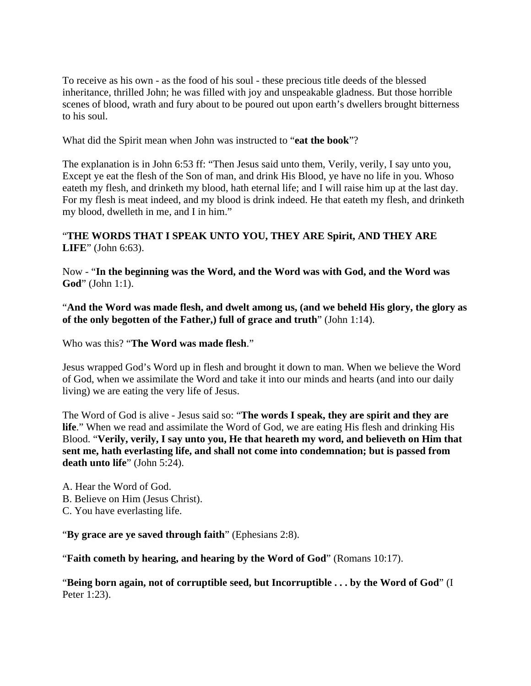To receive as his own - as the food of his soul - these precious title deeds of the blessed inheritance, thrilled John; he was filled with joy and unspeakable gladness. But those horrible scenes of blood, wrath and fury about to be poured out upon earth's dwellers brought bitterness to his soul.

What did the Spirit mean when John was instructed to "**eat the book**"?

The explanation is in John 6:53 ff: "Then Jesus said unto them, Verily, verily, I say unto you, Except ye eat the flesh of the Son of man, and drink His Blood, ye have no life in you. Whoso eateth my flesh, and drinketh my blood, hath eternal life; and I will raise him up at the last day. For my flesh is meat indeed, and my blood is drink indeed. He that eateth my flesh, and drinketh my blood, dwelleth in me, and I in him."

# "**THE WORDS THAT I SPEAK UNTO YOU, THEY ARE Spirit, AND THEY ARE LIFE**" (John 6:63).

Now - "**In the beginning was the Word, and the Word was with God, and the Word was God**" (John 1:1).

"**And the Word was made flesh, and dwelt among us, (and we beheld His glory, the glory as of the only begotten of the Father,) full of grace and truth**" (John 1:14).

Who was this? "**The Word was made flesh**."

Jesus wrapped God's Word up in flesh and brought it down to man. When we believe the Word of God, when we assimilate the Word and take it into our minds and hearts (and into our daily living) we are eating the very life of Jesus.

The Word of God is alive - Jesus said so: "**The words I speak, they are spirit and they are life**." When we read and assimilate the Word of God, we are eating His flesh and drinking His Blood. "**Verily, verily, I say unto you, He that heareth my word, and believeth on Him that sent me, hath everlasting life, and shall not come into condemnation; but is passed from death unto life**" (John 5:24).

A. Hear the Word of God. B. Believe on Him (Jesus Christ). C. You have everlasting life.

"**By grace are ye saved through faith**" (Ephesians 2:8).

"**Faith cometh by hearing, and hearing by the Word of God**" (Romans 10:17).

"**Being born again, not of corruptible seed, but Incorruptible . . . by the Word of God**" (I Peter 1:23).